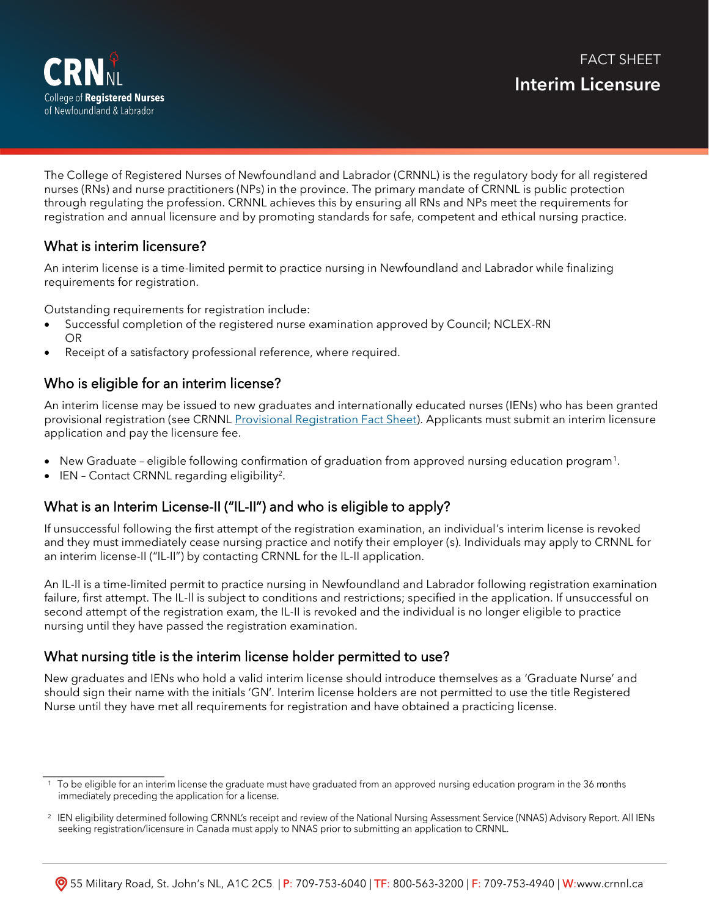

The College of Registered Nurses of Newfoundland and Labrador (CRNNL) is the regulatory body for all registered nurses (RNs) and nurse practitioners (NPs) in the province. The primary mandate of CRNNL is public protection through regulating the profession. CRNNL achieves this by ensuring all RNs and NPs meet the requirements for registration and annual licensure and by promoting standards for safe, competent and ethical nursing practice.

# What is interim licensure?

An interim license is a time-limited permit to practice nursing in Newfoundland and Labrador while finalizing requirements for registration.

Outstanding requirements for registration include:

- Successful completion of the registered nurse examination approved by Council; NCLEX-RN OR
- Receipt of a satisfactory professional reference, where required.

# Who is eligible for an interim license?

An interim license may be issued to new graduates and internationally educated nurses (IENs) who has been granted provisional registration (see CRNNL [Provisional Registration Fact Sheet\).](https://www.crnnl.ca/document-library) Applicants must submit an interim licensure application and pay the licensure fee.

- New Graduate eligible following confirmation of graduation from approved nursing education program<sup>1</sup>.
- $\bullet$  IEN Contact CRNNL regarding eligibility<sup>2</sup>.

# What is an Interim License-II ("IL-II") and who is eligible to apply?

If unsuccessful following the first attempt of the registration examination, an individual's interim license is revoked and they must immediately cease nursing practice and notify their employer (s). Individuals may apply to CRNNL for an interim license-II ("IL-II") by contacting CRNNL for the IL-[II application.](mailto:registration@crnnl.ca?subject=IL-II%20application)

An IL-II is a time-limited permit to practice nursing in Newfoundland and Labrador following registration examination failure, first attempt. The IL-ll is subject to conditions and restrictions; specified in the application. If unsuccessful on second attempt of the registration exam, the IL-II is revoked and the individual is no longer eligible to practice nursing until they have passed the registration examination.

# What nursing title is the interim license holder permitted to use?

New graduates and IENs who hold a valid interim license should introduce themselves as a 'Graduate Nurse' and should sign their name with the initials 'GN'. Interim license holders are not permitted to use the title Registered Nurse until they have met all requirements for registration and have obtained a practicing license.

<sup>&</sup>lt;sup>1</sup> To be eligible for an interim license the graduate must have graduated from an approved nursing education program in the 36 months immediately preceding the application for a license.

<sup>&</sup>lt;sup>2</sup> IEN eligibility determined following CRNNL's receipt and review of the National Nursing Assessment Service (NNAS) Advisory Report. All IENs seeking registration/licensure in Canada must apply to NNAS prior to submitting an application to CRNNL.